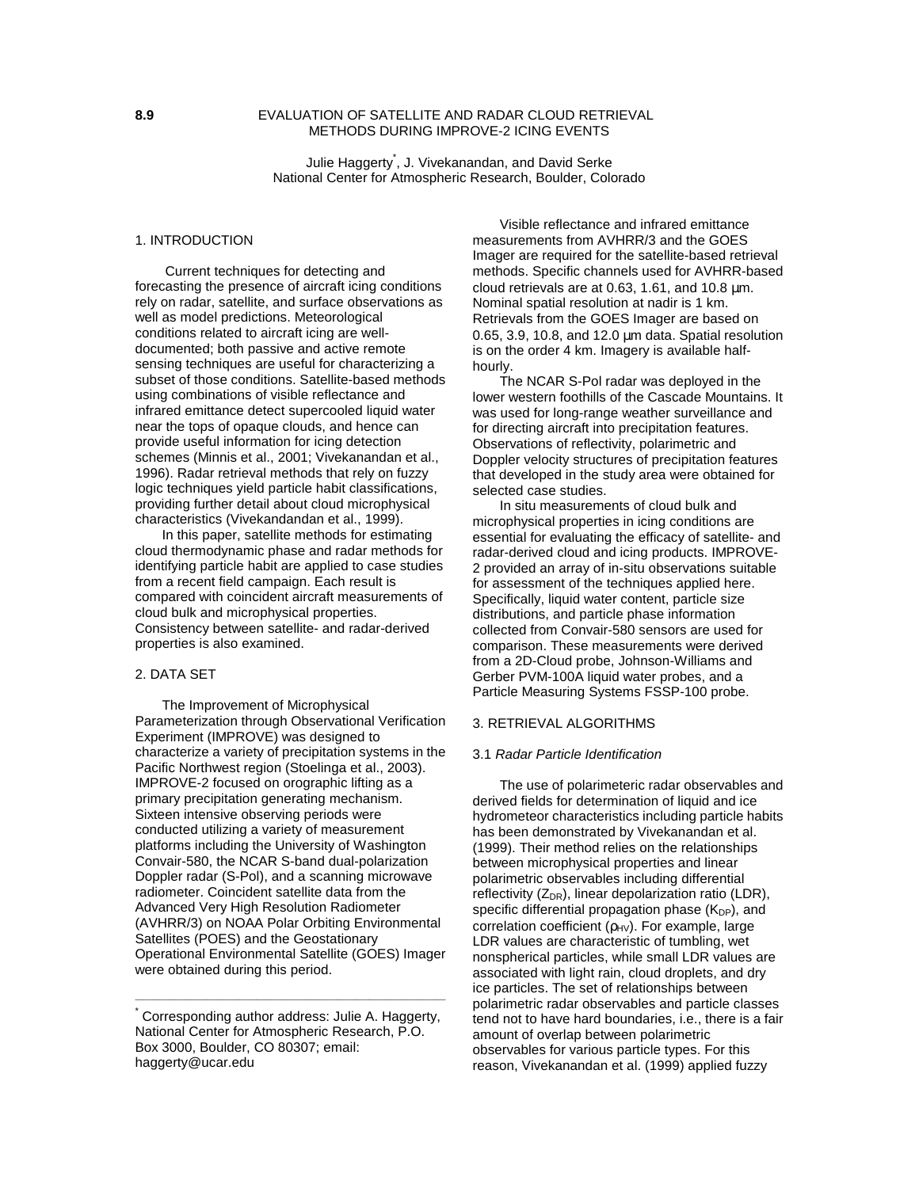# **8.9** EVALUATION OF SATELLITE AND RADAR CLOUD RETRIEVAL METHODS DURING IMPROVE-2 ICING EVENTS

Julie Haggerty\* , J. Vivekanandan, and David Serke National Center for Atmospheric Research, Boulder, Colorado

# 1. INTRODUCTION

 Current techniques for detecting and forecasting the presence of aircraft icing conditions rely on radar, satellite, and surface observations as well as model predictions. Meteorological conditions related to aircraft icing are welldocumented; both passive and active remote sensing techniques are useful for characterizing a subset of those conditions. Satellite-based methods using combinations of visible reflectance and infrared emittance detect supercooled liquid water near the tops of opaque clouds, and hence can provide useful information for icing detection schemes (Minnis et al., 2001; Vivekanandan et al., 1996). Radar retrieval methods that rely on fuzzy logic techniques yield particle habit classifications, providing further detail about cloud microphysical characteristics (Vivekandandan et al., 1999).

In this paper, satellite methods for estimating cloud thermodynamic phase and radar methods for identifying particle habit are applied to case studies from a recent field campaign. Each result is compared with coincident aircraft measurements of cloud bulk and microphysical properties. Consistency between satellite- and radar-derived properties is also examined.

### 2. DATA SET

The Improvement of Microphysical Parameterization through Observational Verification Experiment (IMPROVE) was designed to characterize a variety of precipitation systems in the Pacific Northwest region (Stoelinga et al., 2003). IMPROVE-2 focused on orographic lifting as a primary precipitation generating mechanism. Sixteen intensive observing periods were conducted utilizing a variety of measurement platforms including the University of Washington Convair-580, the NCAR S-band dual-polarization Doppler radar (S-Pol), and a scanning microwave radiometer. Coincident satellite data from the Advanced Very High Resolution Radiometer (AVHRR/3) on NOAA Polar Orbiting Environmental Satellites (POES) and the Geostationary Operational Environmental Satellite (GOES) Imager were obtained during this period.

\_\_\_\_\_\_\_\_\_\_\_\_\_\_\_\_\_\_\_\_\_\_\_\_\_\_\_\_\_\_\_\_\_\_\_\_\_\_\_\_\_\_\_\_\_\_\_\_\_\_\_\_\_\_\_\_\_\_\_\_\_\_\_\_\_\_\_\_\_

Visible reflectance and infrared emittance measurements from AVHRR/3 and the GOES Imager are required for the satellite-based retrieval methods. Specific channels used for AVHRR-based cloud retrievals are at 0.63, 1.61, and 10.8  $\mu$ m. Nominal spatial resolution at nadir is 1 km. Retrievals from the GOES Imager are based on 0.65, 3.9, 10.8, and 12.0 µm data. Spatial resolution is on the order 4 km. Imagery is available halfhourly.

The NCAR S-Pol radar was deployed in the lower western foothills of the Cascade Mountains. It was used for long-range weather surveillance and for directing aircraft into precipitation features. Observations of reflectivity, polarimetric and Doppler velocity structures of precipitation features that developed in the study area were obtained for selected case studies.

In situ measurements of cloud bulk and microphysical properties in icing conditions are essential for evaluating the efficacy of satellite- and radar-derived cloud and icing products. IMPROVE-2 provided an array of in-situ observations suitable for assessment of the techniques applied here. Specifically, liquid water content, particle size distributions, and particle phase information collected from Convair-580 sensors are used for comparison. These measurements were derived from a 2D-Cloud probe, Johnson-Williams and Gerber PVM-100A liquid water probes, and a Particle Measuring Systems FSSP-100 probe.

## 3. RETRIEVAL ALGORITHMS

#### 3.1 Radar Particle Identification

The use of polarimeteric radar observables and derived fields for determination of liquid and ice hydrometeor characteristics including particle habits has been demonstrated by Vivekanandan et al. (1999). Their method relies on the relationships between microphysical properties and linear polarimetric observables including differential reflectivity  $(Z_{DR})$ , linear depolarization ratio (LDR), specific differential propagation phase  $(K_{DP})$ , and correlation coefficient  $(p_{HV})$ . For example, large LDR values are characteristic of tumbling, wet nonspherical particles, while small LDR values are associated with light rain, cloud droplets, and dry ice particles. The set of relationships between polarimetric radar observables and particle classes tend not to have hard boundaries, i.e., there is a fair amount of overlap between polarimetric observables for various particle types. For this reason, Vivekanandan et al. (1999) applied fuzzy

<sup>\*</sup> Corresponding author address: Julie A. Haggerty, National Center for Atmospheric Research, P.O. Box 3000, Boulder, CO 80307; email: haggerty@ucar.edu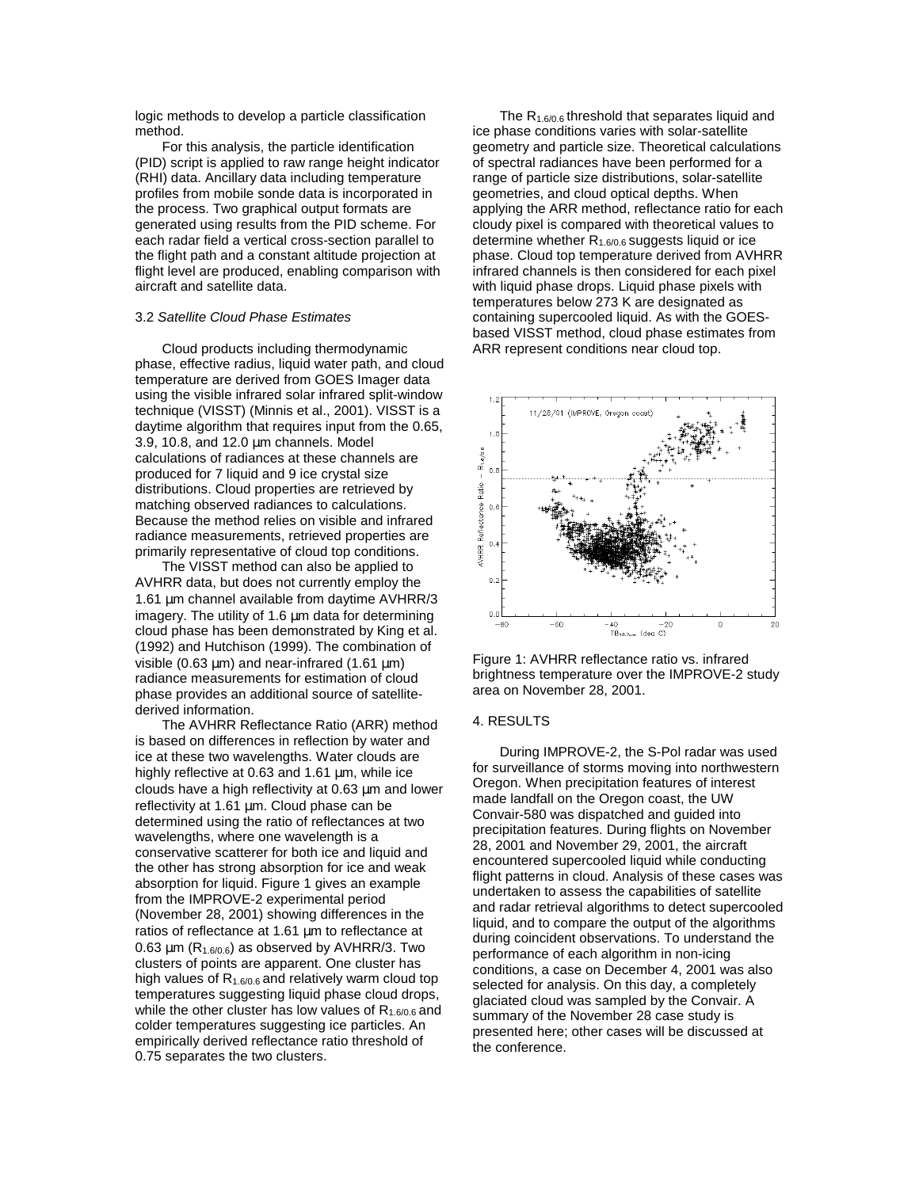logic methods to develop a particle classification method.

For this analysis, the particle identification (PID) script is applied to raw range height indicator (RHI) data. Ancillary data including temperature profiles from mobile sonde data is incorporated in the process. Two graphical output formats are generated using results from the PID scheme. For each radar field a vertical cross-section parallel to the flight path and a constant altitude projection at flight level are produced, enabling comparison with aircraft and satellite data.

### 3.2 Satellite Cloud Phase Estimates

Cloud products including thermodynamic phase, effective radius, liquid water path, and cloud temperature are derived from GOES Imager data using the visible infrared solar infrared split-window technique (VISST) (Minnis et al., 2001). VISST is a daytime algorithm that requires input from the 0.65, 3.9, 10.8, and 12.0 µm channels. Model calculations of radiances at these channels are produced for 7 liquid and 9 ice crystal size distributions. Cloud properties are retrieved by matching observed radiances to calculations. Because the method relies on visible and infrared radiance measurements, retrieved properties are primarily representative of cloud top conditions.

The VISST method can also be applied to AVHRR data, but does not currently employ the 1.61 µm channel available from daytime AVHRR/3 imagery. The utility of 1.6 um data for determining cloud phase has been demonstrated by King et al. (1992) and Hutchison (1999). The combination of visible (0.63  $\mu$ m) and near-infrared (1.61  $\mu$ m) radiance measurements for estimation of cloud phase provides an additional source of satellitederived information.

The AVHRR Reflectance Ratio (ARR) method is based on differences in reflection by water and ice at these two wavelengths. Water clouds are highly reflective at 0.63 and 1.61  $\mu$ m, while ice clouds have a high reflectivity at 0.63 µm and lower reflectivity at 1.61 µm. Cloud phase can be determined using the ratio of reflectances at two wavelengths, where one wavelength is a conservative scatterer for both ice and liquid and the other has strong absorption for ice and weak absorption for liquid. Figure 1 gives an example from the IMPROVE-2 experimental period (November 28, 2001) showing differences in the ratios of reflectance at 1.61 µm to reflectance at 0.63  $\mu$ m (R<sub>1.6/0.6</sub>) as observed by AVHRR/3. Two clusters of points are apparent. One cluster has high values of  $R_{1.6/0.6}$  and relatively warm cloud top temperatures suggesting liquid phase cloud drops, while the other cluster has low values of  $R_{1.6/0.6}$  and colder temperatures suggesting ice particles. An empirically derived reflectance ratio threshold of 0.75 separates the two clusters.

The  $R_{1.6/0.6}$  threshold that separates liquid and ice phase conditions varies with solar-satellite geometry and particle size. Theoretical calculations of spectral radiances have been performed for a range of particle size distributions, solar-satellite geometries, and cloud optical depths. When applying the ARR method, reflectance ratio for each cloudy pixel is compared with theoretical values to determine whether  $R_{1.6/0.6}$  suggests liquid or ice phase. Cloud top temperature derived from AVHRR infrared channels is then considered for each pixel with liquid phase drops. Liquid phase pixels with temperatures below 273 K are designated as containing supercooled liquid. As with the GOESbased VISST method, cloud phase estimates from ARR represent conditions near cloud top.



Figure 1: AVHRR reflectance ratio vs. infrared brightness temperature over the IMPROVE-2 study area on November 28, 2001.

#### 4. RESULTS

During IMPROVE-2, the S-Pol radar was used for surveillance of storms moving into northwestern Oregon. When precipitation features of interest made landfall on the Oregon coast, the UW Convair-580 was dispatched and guided into precipitation features. During flights on November 28, 2001 and November 29, 2001, the aircraft encountered supercooled liquid while conducting flight patterns in cloud. Analysis of these cases was undertaken to assess the capabilities of satellite and radar retrieval algorithms to detect supercooled liquid, and to compare the output of the algorithms during coincident observations. To understand the performance of each algorithm in non-icing conditions, a case on December 4, 2001 was also selected for analysis. On this day, a completely glaciated cloud was sampled by the Convair. A summary of the November 28 case study is presented here; other cases will be discussed at the conference.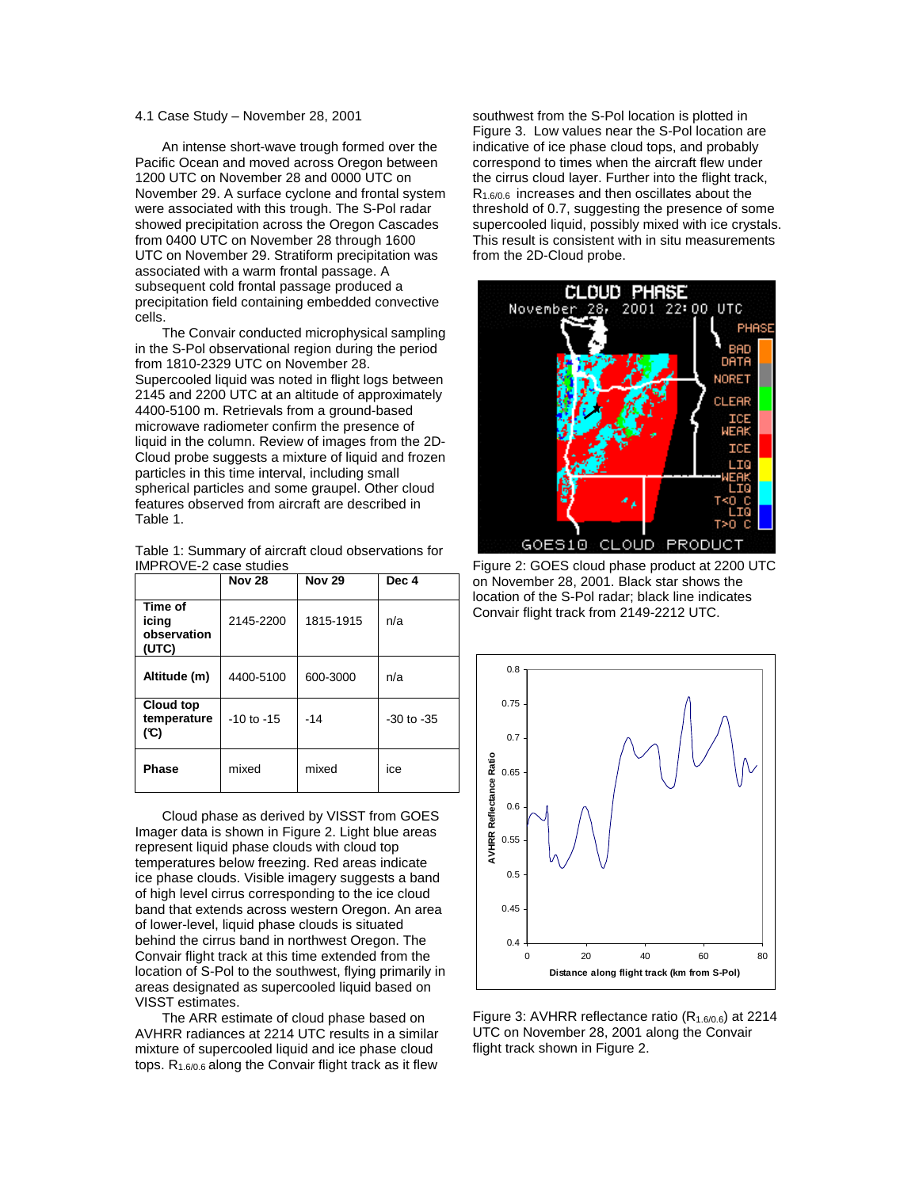## 4.1 Case Study – November 28, 2001

An intense short-wave trough formed over the Pacific Ocean and moved across Oregon between 1200 UTC on November 28 and 0000 UTC on November 29. A surface cyclone and frontal system were associated with this trough. The S-Pol radar showed precipitation across the Oregon Cascades from 0400 UTC on November 28 through 1600 UTC on November 29. Stratiform precipitation was associated with a warm frontal passage. A subsequent cold frontal passage produced a precipitation field containing embedded convective cells.

The Convair conducted microphysical sampling in the S-Pol observational region during the period from 1810-2329 UTC on November 28. Supercooled liquid was noted in flight logs between 2145 and 2200 UTC at an altitude of approximately 4400-5100 m. Retrievals from a ground-based microwave radiometer confirm the presence of liquid in the column. Review of images from the 2D-Cloud probe suggests a mixture of liquid and frozen particles in this time interval, including small spherical particles and some graupel. Other cloud features observed from aircraft are described in Table 1.

| Table 1: Summary of aircraft cloud observations for |  |
|-----------------------------------------------------|--|
| IMPROVE-2 case studies                              |  |

|                                          | <b>Nov 28</b>  | <b>Nov 29</b> | Dec 4          |
|------------------------------------------|----------------|---------------|----------------|
| Time of<br>icing<br>observation<br>(UTC) | 2145-2200      | 1815-1915     | n/a            |
| Altitude (m)                             | 4400-5100      | 600-3000      | n/a            |
| Cloud top<br>temperature<br>(°C)         | $-10$ to $-15$ | $-14$         | $-30$ to $-35$ |
| <b>Phase</b>                             | mixed          | mixed         | ice            |

Cloud phase as derived by VISST from GOES Imager data is shown in Figure 2. Light blue areas represent liquid phase clouds with cloud top temperatures below freezing. Red areas indicate ice phase clouds. Visible imagery suggests a band of high level cirrus corresponding to the ice cloud band that extends across western Oregon. An area of lower-level, liquid phase clouds is situated behind the cirrus band in northwest Oregon. The Convair flight track at this time extended from the location of S-Pol to the southwest, flying primarily in areas designated as supercooled liquid based on VISST estimates.

The ARR estimate of cloud phase based on AVHRR radiances at 2214 UTC results in a similar mixture of supercooled liquid and ice phase cloud tops.  $R_{1.6/0.6}$  along the Convair flight track as it flew

southwest from the S-Pol location is plotted in Figure 3. Low values near the S-Pol location are indicative of ice phase cloud tops, and probably correspond to times when the aircraft flew under the cirrus cloud layer. Further into the flight track,  $R_{1.6/0.6}$  increases and then oscillates about the threshold of 0.7, suggesting the presence of some supercooled liquid, possibly mixed with ice crystals. This result is consistent with in situ measurements from the 2D-Cloud probe.



Figure 2: GOES cloud phase product at 2200 UTC on November 28, 2001. Black star shows the location of the S-Pol radar; black line indicates Convair flight track from 2149-2212 UTC.



Figure 3: AVHRR reflectance ratio  $(R_{1.6/0.6})$  at 2214 UTC on November 28, 2001 along the Convair flight track shown in Figure 2.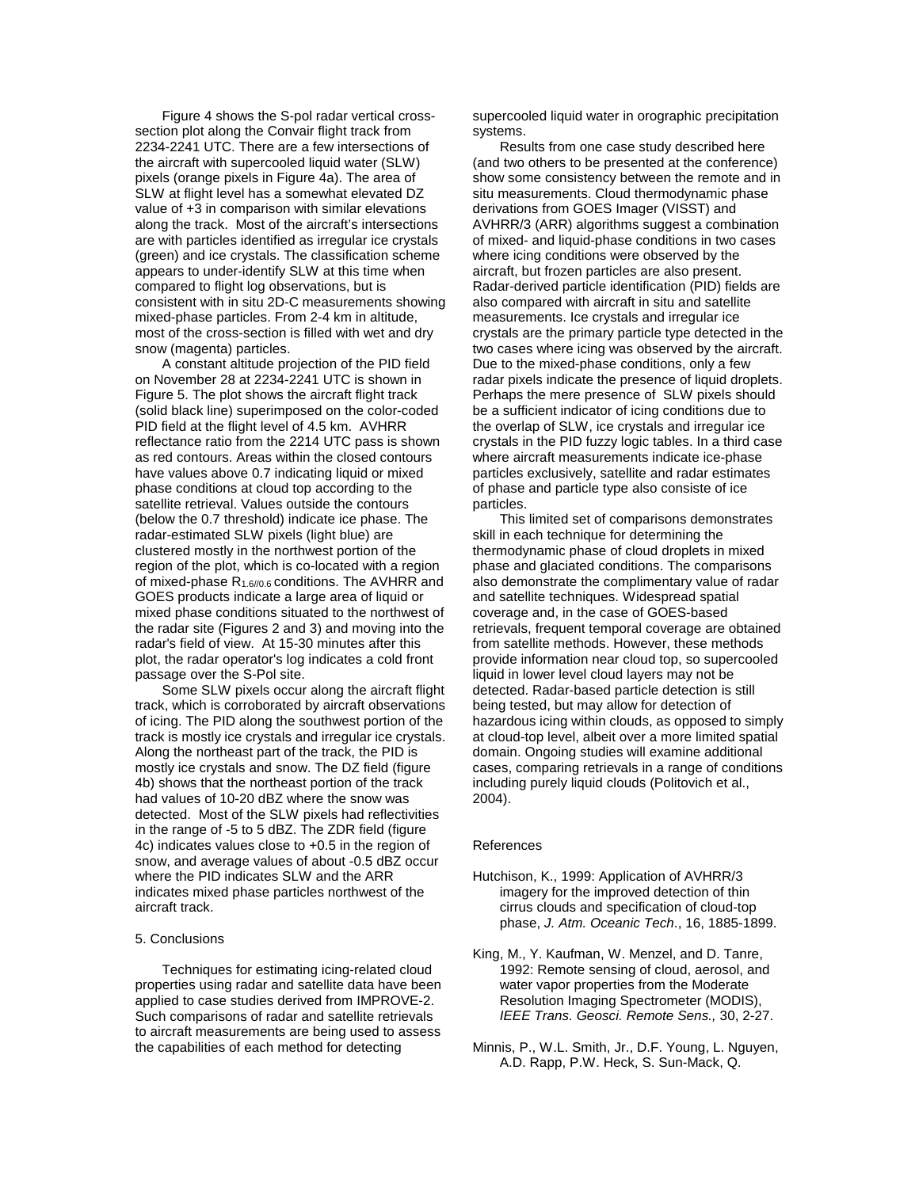Figure 4 shows the S-pol radar vertical crosssection plot along the Convair flight track from 2234-2241 UTC. There are a few intersections of the aircraft with supercooled liquid water (SLW) pixels (orange pixels in Figure 4a). The area of SLW at flight level has a somewhat elevated DZ value of +3 in comparison with similar elevations along the track. Most of the aircraft's intersections are with particles identified as irregular ice crystals (green) and ice crystals. The classification scheme appears to under-identify SLW at this time when compared to flight log observations, but is consistent with in situ 2D-C measurements showing mixed-phase particles. From 2-4 km in altitude, most of the cross-section is filled with wet and dry snow (magenta) particles.

A constant altitude projection of the PID field on November 28 at 2234-2241 UTC is shown in Figure 5. The plot shows the aircraft flight track (solid black line) superimposed on the color-coded PID field at the flight level of 4.5 km. AVHRR reflectance ratio from the 2214 UTC pass is shown as red contours. Areas within the closed contours have values above 0.7 indicating liquid or mixed phase conditions at cloud top according to the satellite retrieval. Values outside the contours (below the 0.7 threshold) indicate ice phase. The radar-estimated SLW pixels (light blue) are clustered mostly in the northwest portion of the region of the plot, which is co-located with a region of mixed-phase  $R_{1.6/0.6}$  conditions. The AVHRR and GOES products indicate a large area of liquid or mixed phase conditions situated to the northwest of the radar site (Figures 2 and 3) and moving into the radar's field of view. At 15-30 minutes after this plot, the radar operator's log indicates a cold front passage over the S-Pol site.

Some SLW pixels occur along the aircraft flight track, which is corroborated by aircraft observations of icing. The PID along the southwest portion of the track is mostly ice crystals and irregular ice crystals. Along the northeast part of the track, the PID is mostly ice crystals and snow. The DZ field (figure 4b) shows that the northeast portion of the track had values of 10-20 dBZ where the snow was detected. Most of the SLW pixels had reflectivities in the range of -5 to 5 dBZ. The ZDR field (figure 4c) indicates values close to +0.5 in the region of snow, and average values of about -0.5 dBZ occur where the PID indicates SLW and the ARR indicates mixed phase particles northwest of the aircraft track.

#### 5. Conclusions

Techniques for estimating icing-related cloud properties using radar and satellite data have been applied to case studies derived from IMPROVE-2. Such comparisons of radar and satellite retrievals to aircraft measurements are being used to assess the capabilities of each method for detecting

supercooled liquid water in orographic precipitation systems.

Results from one case study described here (and two others to be presented at the conference) show some consistency between the remote and in situ measurements. Cloud thermodynamic phase derivations from GOES Imager (VISST) and AVHRR/3 (ARR) algorithms suggest a combination of mixed- and liquid-phase conditions in two cases where icing conditions were observed by the aircraft, but frozen particles are also present. Radar-derived particle identification (PID) fields are also compared with aircraft in situ and satellite measurements. Ice crystals and irregular ice crystals are the primary particle type detected in the two cases where icing was observed by the aircraft. Due to the mixed-phase conditions, only a few radar pixels indicate the presence of liquid droplets. Perhaps the mere presence of SLW pixels should be a sufficient indicator of icing conditions due to the overlap of SLW, ice crystals and irregular ice crystals in the PID fuzzy logic tables. In a third case where aircraft measurements indicate ice-phase particles exclusively, satellite and radar estimates of phase and particle type also consiste of ice particles.

This limited set of comparisons demonstrates skill in each technique for determining the thermodynamic phase of cloud droplets in mixed phase and glaciated conditions. The comparisons also demonstrate the complimentary value of radar and satellite techniques. Widespread spatial coverage and, in the case of GOES-based retrievals, frequent temporal coverage are obtained from satellite methods. However, these methods provide information near cloud top, so supercooled liquid in lower level cloud layers may not be detected. Radar-based particle detection is still being tested, but may allow for detection of hazardous icing within clouds, as opposed to simply at cloud-top level, albeit over a more limited spatial domain. Ongoing studies will examine additional cases, comparing retrievals in a range of conditions including purely liquid clouds (Politovich et al., 2004).

#### References

- Hutchison, K., 1999: Application of AVHRR/3 imagery for the improved detection of thin cirrus clouds and specification of cloud-top phase, J. Atm. Oceanic Tech., 16, 1885-1899.
- King, M., Y. Kaufman, W. Menzel, and D. Tanre, 1992: Remote sensing of cloud, aerosol, and water vapor properties from the Moderate Resolution Imaging Spectrometer (MODIS), IEEE Trans. Geosci. Remote Sens., 30, 2-27.
- Minnis, P., W.L. Smith, Jr., D.F. Young, L. Nguyen, A.D. Rapp, P.W. Heck, S. Sun-Mack, Q.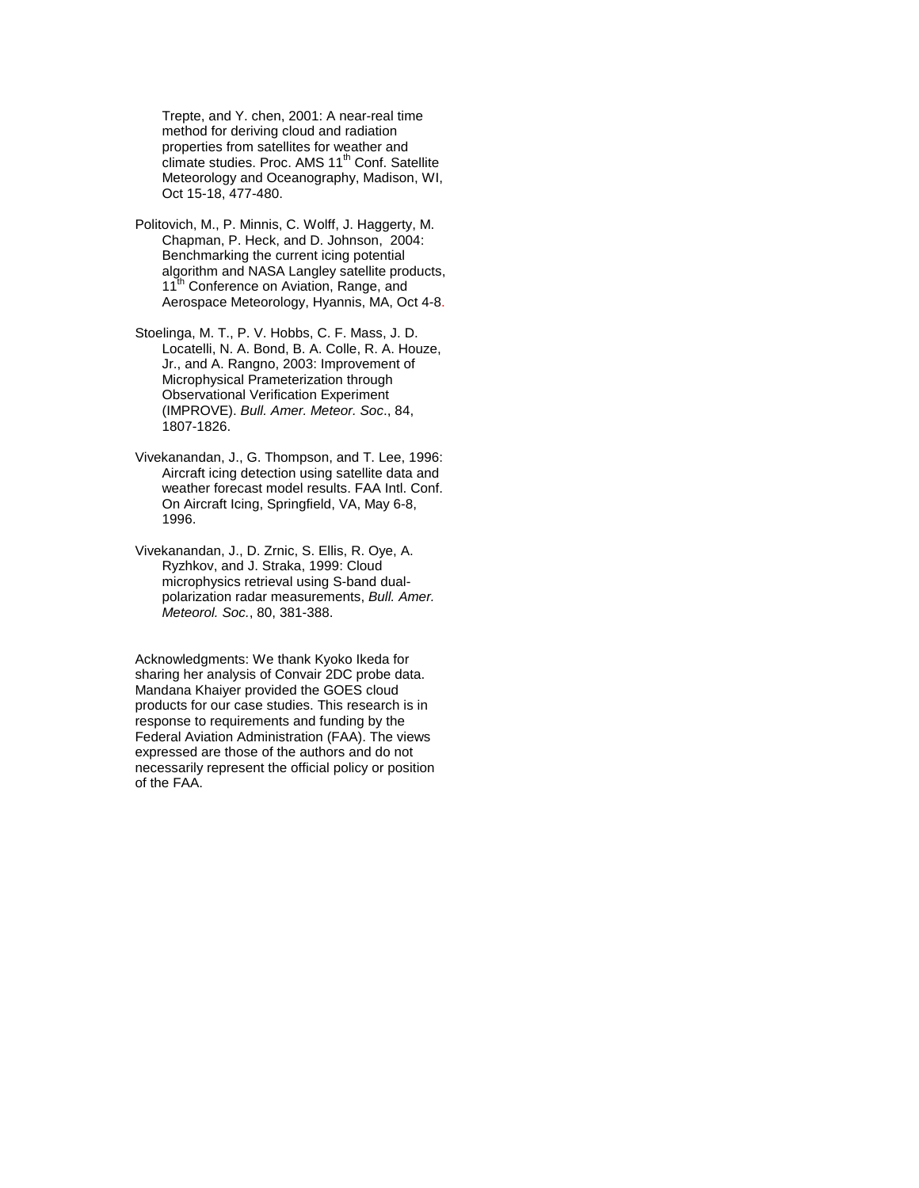Trepte, and Y. chen, 2001: A near-real time method for deriving cloud and radiation properties from satellites for weather and climate studies. Proc. AMS 11<sup>th</sup> Conf. Satellite Meteorology and Oceanography, Madison, WI, Oct 15-18, 477-480.

- Politovich, M., P. Minnis, C. Wolff, J. Haggerty, M. Chapman, P. Heck, and D. Johnson, 2004: Benchmarking the current icing potential algorithm and NASA Langley satellite products, 11<sup>th</sup> Conference on Aviation, Range, and Aerospace Meteorology, Hyannis, MA, Oct 4-8.
- Stoelinga, M. T., P. V. Hobbs, C. F. Mass, J. D. Locatelli, N. A. Bond, B. A. Colle, R. A. Houze, Jr., and A. Rangno, 2003: Improvement of Microphysical Prameterization through Observational Verification Experiment (IMPROVE). Bull. Amer. Meteor. Soc., 84, 1807-1826.
- Vivekanandan, J., G. Thompson, and T. Lee, 1996: Aircraft icing detection using satellite data and weather forecast model results. FAA Intl. Conf. On Aircraft Icing, Springfield, VA, May 6-8, 1996.
- Vivekanandan, J., D. Zrnic, S. Ellis, R. Oye, A. Ryzhkov, and J. Straka, 1999: Cloud microphysics retrieval using S-band dualpolarization radar measurements, Bull. Amer. Meteorol. Soc., 80, 381-388.

Acknowledgments: We thank Kyoko Ikeda for sharing her analysis of Convair 2DC probe data. Mandana Khaiyer provided the GOES cloud products for our case studies. This research is in response to requirements and funding by the Federal Aviation Administration (FAA). The views expressed are those of the authors and do not necessarily represent the official policy or position of the FAA.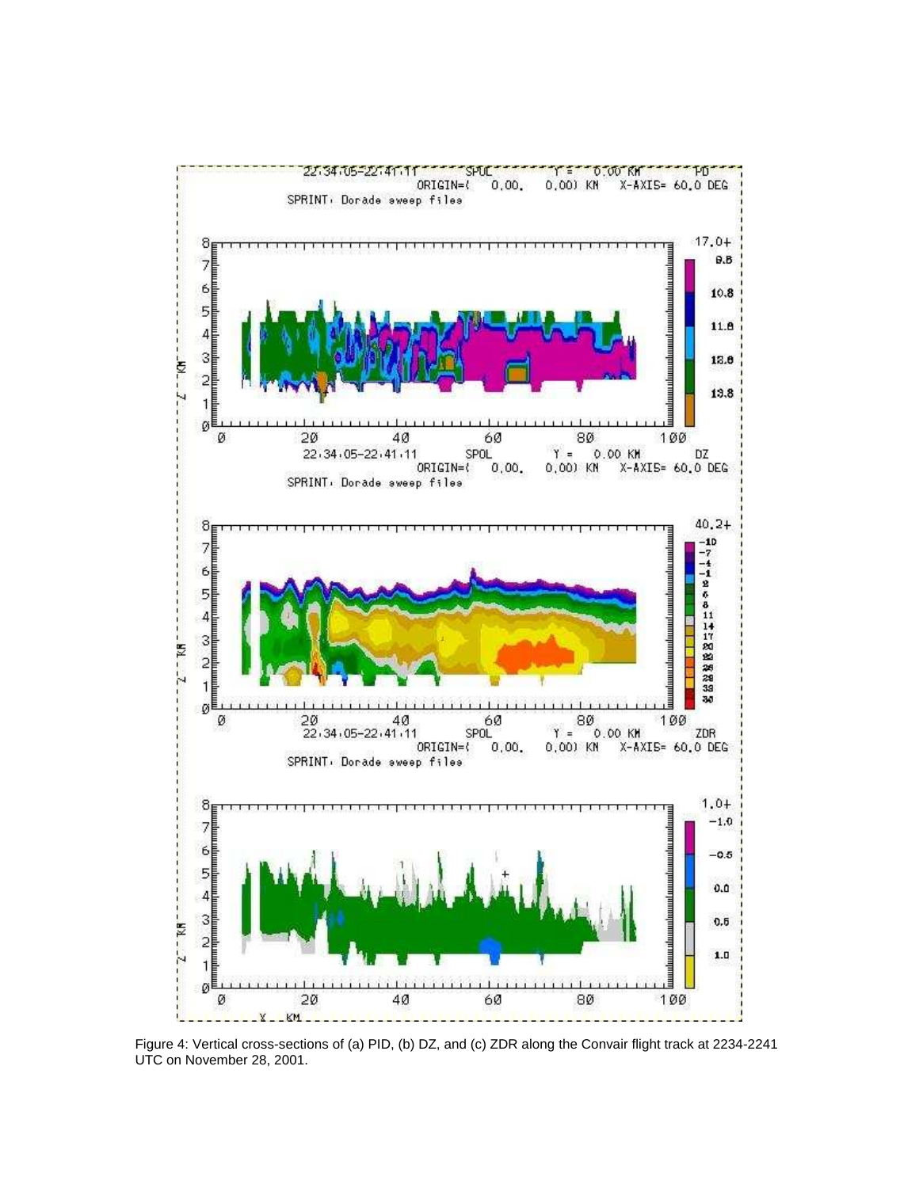

Figure 4: Vertical cross-sections of (a) PID, (b) DZ, and (c) ZDR along the Convair flight track at 2234-2241 UTC on November 28, 2001.